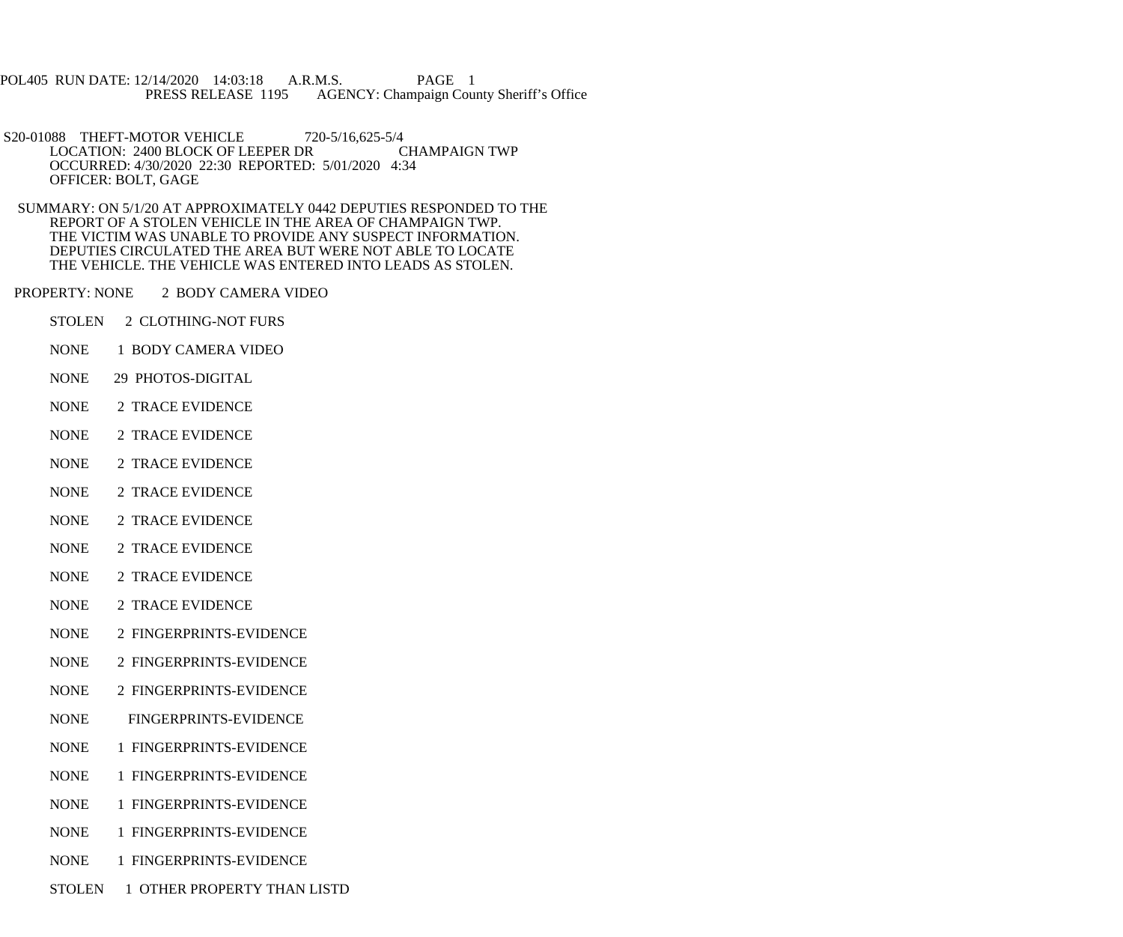POL405 RUN DATE: 12/14/2020 14:03:18 A.R.M.S. PAGE 1<br>PRESS RELEASE 1195 AGENCY: Champaign Cou AGENCY: Champaign County Sheriff's Office

S20-01088 THEFT-MOTOR VEHICLE 720-5/16,625-5/4<br>LOCATION: 2400 BLOCK OF LEEPER DR CHAMPAIGN TWP LOCATION: 2400 BLOCK OF LEEPER DR OCCURRED: 4/30/2020 22:30 REPORTED: 5/01/2020 4:34 OFFICER: BOLT, GAGE

 SUMMARY: ON 5/1/20 AT APPROXIMATELY 0442 DEPUTIES RESPONDED TO THE REPORT OF A STOLEN VEHICLE IN THE AREA OF CHAMPAIGN TWP. THE VICTIM WAS UNABLE TO PROVIDE ANY SUSPECT INFORMATION. DEPUTIES CIRCULATED THE AREA BUT WERE NOT ABLE TO LOCATE THE VEHICLE. THE VEHICLE WAS ENTERED INTO LEADS AS STOLEN.

PROPERTY: NONE 2 BODY CAMERA VIDEO

- STOLEN 2 CLOTHING-NOT FURS
- NONE 1 BODY CAMERA VIDEO
- NONE 29 PHOTOS-DIGITAL
- NONE 2 TRACE EVIDENCE
- NONE 2 TRACE EVIDENCE
- NONE 2 TRACE EVIDENCE
- NONE 2 TRACE EVIDENCE
- NONE 2 TRACE EVIDENCE
- NONE 2 TRACE EVIDENCE
- NONE 2 TRACE EVIDENCE
- NONE 2 TRACE EVIDENCE
- NONE 2 FINGERPRINTS-EVIDENCE
- NONE 2 FINGERPRINTS-EVIDENCE
- NONE 2 FINGERPRINTS-EVIDENCE
- NONE FINGERPRINTS-EVIDENCE
- NONE 1 FINGERPRINTS-EVIDENCE
- NONE 1 FINGERPRINTS-EVIDENCE
- NONE 1 FINGERPRINTS-EVIDENCE
- NONE 1 FINGERPRINTS-EVIDENCE
- NONE 1 FINGERPRINTS-EVIDENCE
- STOLEN 1 OTHER PROPERTY THAN LISTD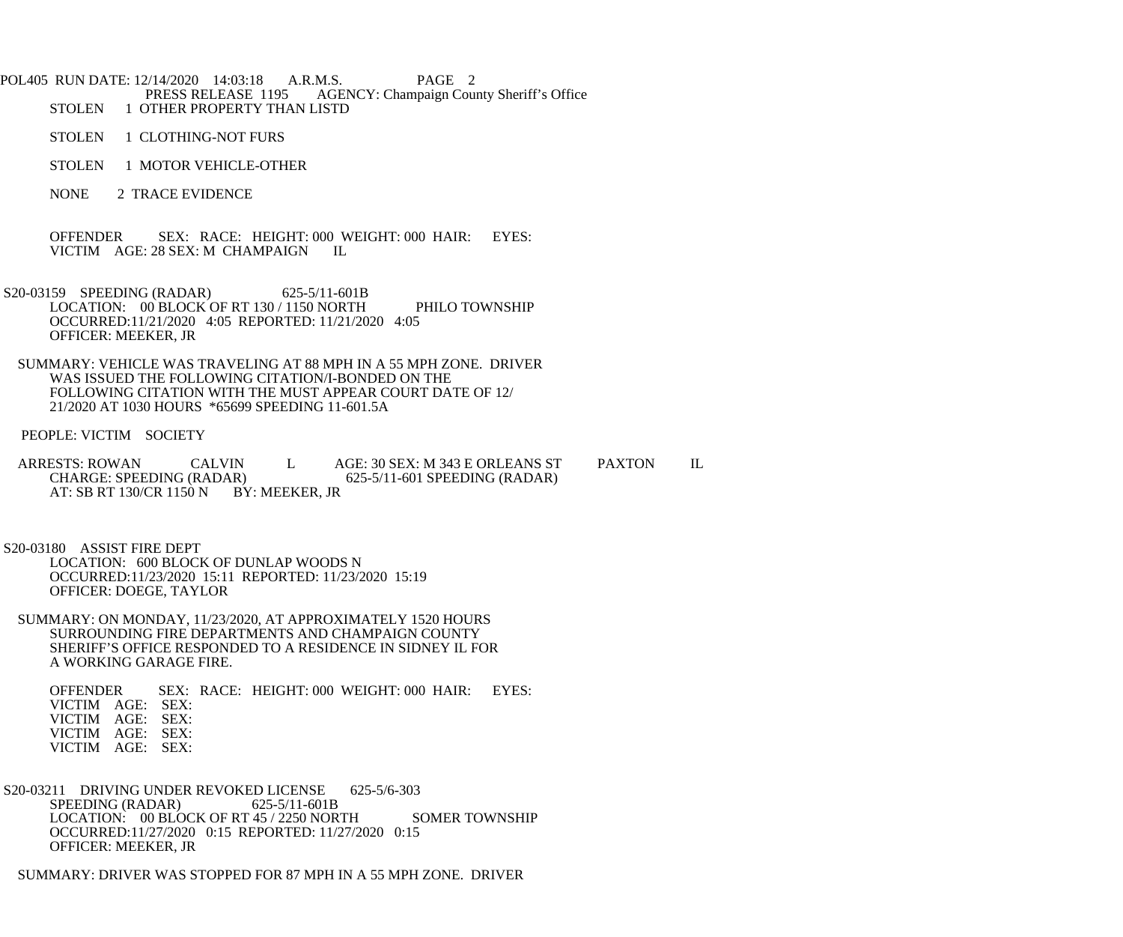POL405 RUN DATE: 12/14/2020 14:03:18 A.R.M.S. PAGE 2<br>PRESS RELEASE 1195 AGENCY: Champaign Cou PRESS RELEASE 1195 AGENCY: Champaign County Sheriff's Office<br>STOLEN 1 OTHER PROPERTY THAN LISTD 1 OTHER PROPERTY THAN LISTD

STOLEN 1 CLOTHING-NOT FURS

- STOLEN 1 MOTOR VEHICLE-OTHER
- NONE 2 TRACE EVIDENCE

 OFFENDER SEX: RACE: HEIGHT: 000 WEIGHT: 000 HAIR: EYES: VICTIM AGE: 28 SEX: M CHAMPAIGN IL

- S20-03159 SPEEDING (RADAR) 625-5/11-601B LOCATION: 00 BLOCK OF RT 130 / 1150 NORTH PHILO TOWNSHIP OCCURRED:11/21/2020 4:05 REPORTED: 11/21/2020 4:05 OFFICER: MEEKER, JR
- SUMMARY: VEHICLE WAS TRAVELING AT 88 MPH IN A 55 MPH ZONE. DRIVER WAS ISSUED THE FOLLOWING CITATION/I-BONDED ON THE FOLLOWING CITATION WITH THE MUST APPEAR COURT DATE OF 12/ 21/2020 AT 1030 HOURS \*65699 SPEEDING 11-601.5A

PEOPLE: VICTIM SOCIETY

ARRESTS: ROWAN CALVIN L AGE: 30 SEX: M 343 E ORLEANS ST PAXTON IL<br>CHARGE: SPEEDING (RADAR) 625-5/11-601 SPEEDING (RADAR) 625-5/11-601 SPEEDING (RADAR) AT: SB RT 130/CR 1150 N BY: MEEKER, JR

 S20-03180 ASSIST FIRE DEPT LOCATION: 600 BLOCK OF DUNLAP WOODS N OCCURRED:11/23/2020 15:11 REPORTED: 11/23/2020 15:19 OFFICER: DOEGE, TAYLOR

 SUMMARY: ON MONDAY, 11/23/2020, AT APPROXIMATELY 1520 HOURS SURROUNDING FIRE DEPARTMENTS AND CHAMPAIGN COUNTY SHERIFF'S OFFICE RESPONDED TO A RESIDENCE IN SIDNEY IL FOR A WORKING GARAGE FIRE.

 OFFENDER SEX: RACE: HEIGHT: 000 WEIGHT: 000 HAIR: EYES: VICTIM AGE: SEX: VICTIM AGE: SEX: VICTIM AGE: SEX: VICTIM AGE: SEX:

S20-03211 DRIVING UNDER REVOKED LICENSE 625-5/6-303<br>SPEEDING (RADAR) 625-5/11-601B SPEEDING (RADAR) LOCATION: 00 BLOCK OF RT 45 / 2250 NORTH SOMER TOWNSHIP OCCURRED:11/27/2020 0:15 REPORTED: 11/27/2020 0:15 OFFICER: MEEKER, JR

SUMMARY: DRIVER WAS STOPPED FOR 87 MPH IN A 55 MPH ZONE. DRIVER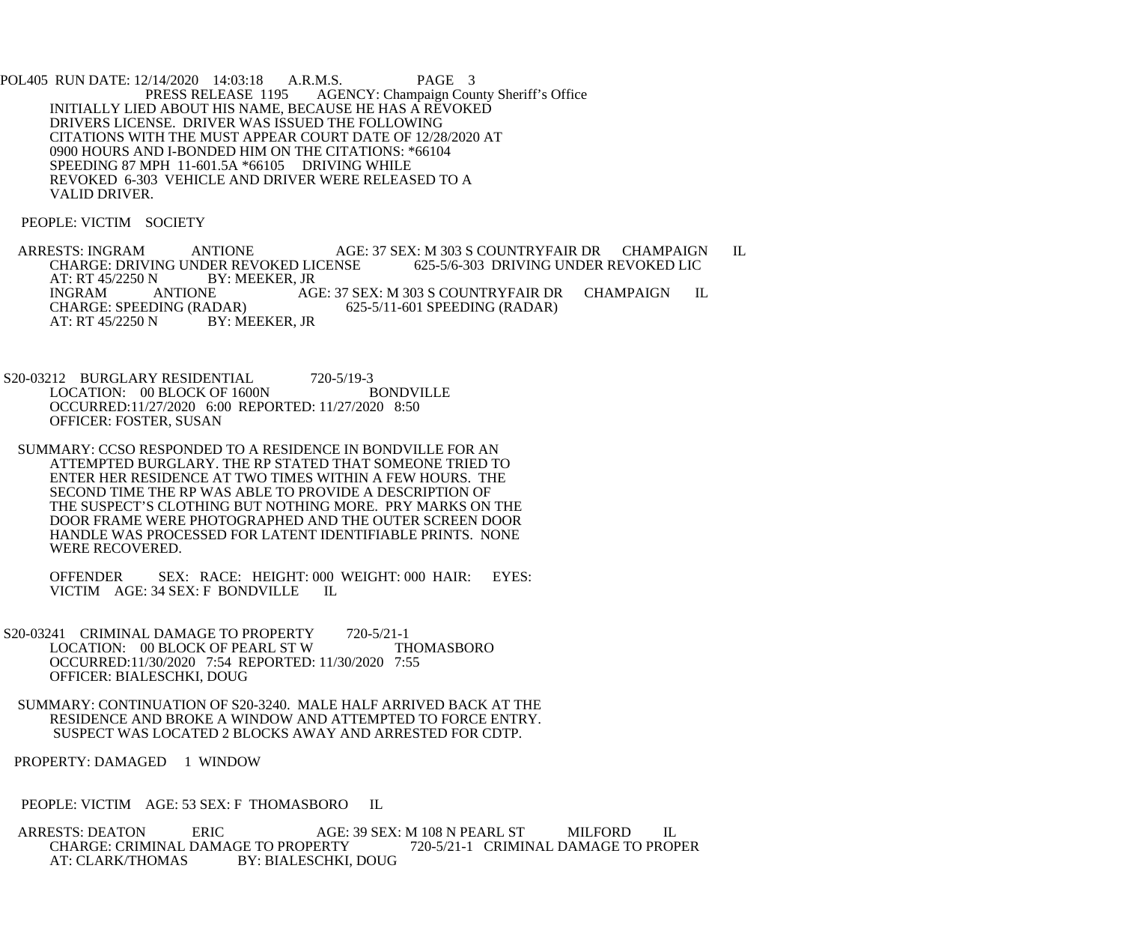POL405 RUN DATE: 12/14/2020 14:03:18 A.R.M.S. PAGE 3<br>PRESS RELEASE 1195 AGENCY: Champaign Cou AGENCY: Champaign County Sheriff's Office INITIALLY LIED ABOUT HIS NAME, BECAUSE HE HAS A REVOKED DRIVERS LICENSE. DRIVER WAS ISSUED THE FOLLOWING CITATIONS WITH THE MUST APPEAR COURT DATE OF 12/28/2020 AT 0900 HOURS AND I-BONDED HIM ON THE CITATIONS: \*66104 SPEEDING 87 MPH 11-601.5A \*66105 DRIVING WHILE REVOKED 6-303 VEHICLE AND DRIVER WERE RELEASED TO A VALID DRIVER.

PEOPLE: VICTIM SOCIETY

ARRESTS: INGRAM ANTIONE AGE: 37 SEX: M 303 S COUNTRYFAIR DR CHAMPAIGN IL<br>CHARGE: DRIVING UNDER REVOKED LICENSE 625-5/6-303 DRIVING UNDER REVOKED LIC CHARGE: DRIVING UNDER REVOKED LICENSE<br>AT: RT 45/2250 N BY: MEEKER, JR AT: RT 45/2250 N B<br>INGRAM ANTIONE INGRAM ANTIONE AGE: 37 SEX: M 303 S COUNTRYFAIR DR CHAMPAIGN IL<br>CHARGE: SPEEDING (RADAR) 625-5/11-601 SPEEDING (RADAR) ADAR) 625-5/11-601 SPEEDING (RADAR)<br>BY: MEEKER. JR AT: RT 45/2250 N

S20-03212 BURGLARY RESIDENTIAL 720-5/19-3<br>LOCATION: 00 BLOCK OF 1600N BONDVILLE LOCATION: 00 BLOCK OF 1600N OCCURRED:11/27/2020 6:00 REPORTED: 11/27/2020 8:50 OFFICER: FOSTER, SUSAN

 SUMMARY: CCSO RESPONDED TO A RESIDENCE IN BONDVILLE FOR AN ATTEMPTED BURGLARY. THE RP STATED THAT SOMEONE TRIED TO ENTER HER RESIDENCE AT TWO TIMES WITHIN A FEW HOURS. THE SECOND TIME THE RP WAS ABLE TO PROVIDE A DESCRIPTION OF THE SUSPECT'S CLOTHING BUT NOTHING MORE. PRY MARKS ON THE DOOR FRAME WERE PHOTOGRAPHED AND THE OUTER SCREEN DOOR HANDLE WAS PROCESSED FOR LATENT IDENTIFIABLE PRINTS. NONE WERE RECOVERED.

 OFFENDER SEX: RACE: HEIGHT: 000 WEIGHT: 000 HAIR: EYES: VICTIM AGE: 34 SEX: F BONDVILLE IL

S20-03241 CRIMINAL DAMAGE TO PROPERTY 720-5/21-1 LOCATION: 00 BLOCK OF PEARL ST W THOMASBORO OCCURRED:11/30/2020 7:54 REPORTED: 11/30/2020 7:55 OFFICER: BIALESCHKI, DOUG

 SUMMARY: CONTINUATION OF S20-3240. MALE HALF ARRIVED BACK AT THE RESIDENCE AND BROKE A WINDOW AND ATTEMPTED TO FORCE ENTRY. SUSPECT WAS LOCATED 2 BLOCKS AWAY AND ARRESTED FOR CDTP.

PROPERTY: DAMAGED 1 WINDOW

PEOPLE: VICTIM AGE: 53 SEX: F THOMASBORO IL

ARRESTS: DEATON ERIC AGE: 39 SEX: M 108 N PEARL ST MILFORD IL<br>CHARGE: CRIMINAL DAMAGE TO PROPERTY 720-5/21-1 CRIMINAL DAMAGE TO PROPER CHARGE: CRIMINAL DAMAGE TO PROPERTY<br>AT: CLARK/THOMAS BY: BIALESCHKI. BY: BIALESCHKI, DOUG